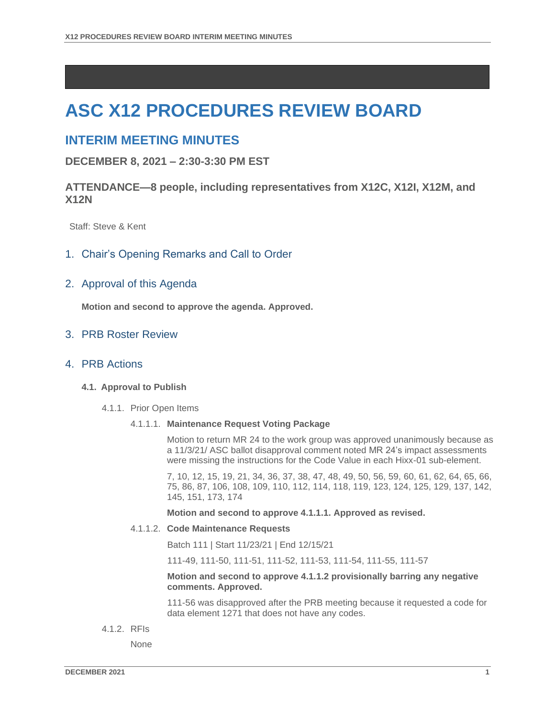# **ASC X12 PROCEDURES REVIEW BOARD**

# **INTERIM MEETING MINUTES**

**DECEMBER 8, 2021 – 2:30-3:30 PM EST**

# **ATTENDANCE—8 people, including representatives from X12C, X12I, X12M, and X12N**

Staff: Steve & Kent

## 1. Chair's Opening Remarks and Call to Order

## 2. Approval of this Agenda

**Motion and second to approve the agenda. Approved.**

# 3. PRB Roster Review

#### 4. PRB Actions

#### **4.1. Approval to Publish**

4.1.1. Prior Open Items

#### 4.1.1.1. **Maintenance Request Voting Package**

Motion to return MR 24 to the work group was approved unanimously because as a 11/3/21/ ASC ballot disapproval comment noted MR 24's impact assessments were missing the instructions for the Code Value in each Hixx-01 sub-element.

7, 10, 12, 15, 19, 21, 34, 36, 37, 38, 47, 48, 49, 50, 56, 59, 60, 61, 62, 64, 65, 66, 75, 86, 87, 106, 108, 109, 110, 112, 114, 118, 119, 123, 124, 125, 129, 137, 142, 145, 151, 173, 174

**Motion and second to approve 4.1.1.1. Approved as revised.**

#### 4.1.1.2. **Code Maintenance Requests**

Batch 111 | Start 11/23/21 | End 12/15/21

111-49, 111-50, 111-51, 111-52, 111-53, 111-54, 111-55, 111-57

#### **Motion and second to approve 4.1.1.2 provisionally barring any negative comments. Approved.**

111-56 was disapproved after the PRB meeting because it requested a code for data element 1271 that does not have any codes.

4.1.2. RFIs

None